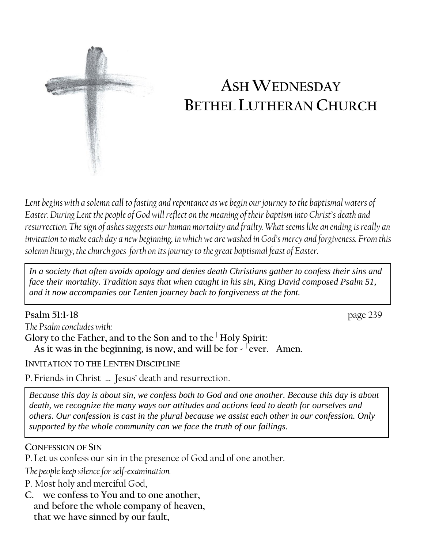

# **ASH WEDNESDAY BETHEL LUTHERAN CHURCH**

*Lent begins with a solemn call to fasting and repentance as we begin our journey to the baptismal waters of Easter. During Lent the people of God will reflect on the meaning of their baptism into Christ's death and resurrection. The sign of ashes suggests our human mortality and frailty. What seems like an ending is really an invitation to make each day a new beginning, in which we are washed in God's mercy and forgiveness. From this solemn liturgy, the church goes forth on its journey to the great baptismal feast of Easter.*

*In a society that often avoids apology and denies death Christians gather to confess their sins and face their mortality. Tradition says that when caught in his sin, King David composed Psalm 51, and it now accompanies our Lenten journey back to forgiveness at the font.*

**Psalm 51:1-18** page 239 *The Psalm concludes with:* **Glory to the Father, and to the Son and to the <sup>|</sup> Holy Spirit:** As it was in the beginning, is now, and will be for - <sup>lever.</sup> Amen.

**INVITATION TO THE LENTEN DISCIPLINE**

P. Friends in Christ … Jesus' death and resurrection.

*Because this day is about sin, we confess both to God and one another. Because this day is about death, we recognize the many ways our attitudes and actions lead to death for ourselves and others. Our confession is cast in the plural because we assist each other in our confession. Only supported by the whole community can we face the truth of our failings.*

## **CONFESSION OF SIN**

P. Let us confess our sin in the presence of God and of one another.

*The people keep silence for self-examination.*

P. Most holy and merciful God,

**C. we confess to You and to one another, and before the whole company of heaven, that we have sinned by our fault,**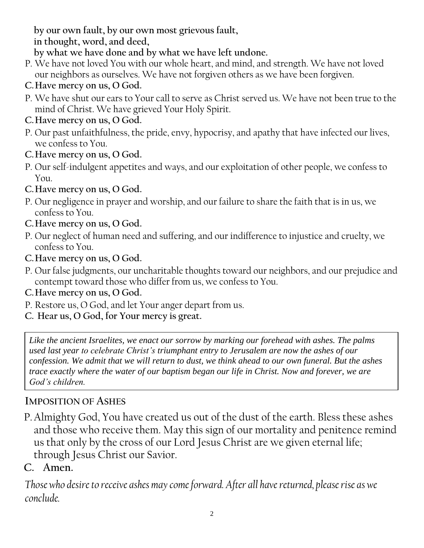**by our own fault, by our own most grievous fault,**

**in thought, word, and deed,**

**by what we have done and by what we have left undone.**

- P. We have not loved You with our whole heart, and mind, and strength. We have not loved our neighbors as ourselves. We have not forgiven others as we have been forgiven.
- **C.Have mercy on us, O God.**
- P. We have shut our ears to Your call to serve as Christ served us. We have not been true to the mind of Christ. We have grieved Your Holy Spirit.
- **C.Have mercy on us, O God.**
- P. Our past unfaithfulness, the pride, envy, hypocrisy, and apathy that have infected our lives, we confess to You.
- **C.Have mercy on us, O God.**
- P. Our self-indulgent appetites and ways, and our exploitation of other people, we confess to You.
- **C.Have mercy on us, O God.**
- P. Our negligence in prayer and worship, and our failure to share the faith that is in us, we confess to You.
- **C.Have mercy on us, O God.**
- P. Our neglect of human need and suffering, and our indifference to injustice and cruelty, we confess to You.
- **C.Have mercy on us, O God.**
- P. Our false judgments, our uncharitable thoughts toward our neighbors, and our prejudice and contempt toward those who differ from us, we confess to You.
- **C.Have mercy on us, O God.**
- P. Restore us, O God, and let Your anger depart from us.
- **C. Hear us, O God, for Your mercy is great.**

*Like the ancient Israelites, we enact our sorrow by marking our forehead with ashes. The palms used last year to celebrate Christ's triumphant entry to Jerusalem are now the ashes of our confession. We admit that we will return to dust, we think ahead to our own funeral. But the ashes trace exactly where the water of our baptism began our life in Christ. Now and forever, we are God's children.*

# **IMPOSITION OF ASHES**

P.Almighty God, You have created us out of the dust of the earth. Bless these ashes and those who receive them. May this sign of our mortality and penitence remind us that only by the cross of our Lord Jesus Christ are we given eternal life; through Jesus Christ our Savior.

# **C. Amen.**

*Those who desire to receive ashes may come forward. After all have returned, please rise as we conclude.*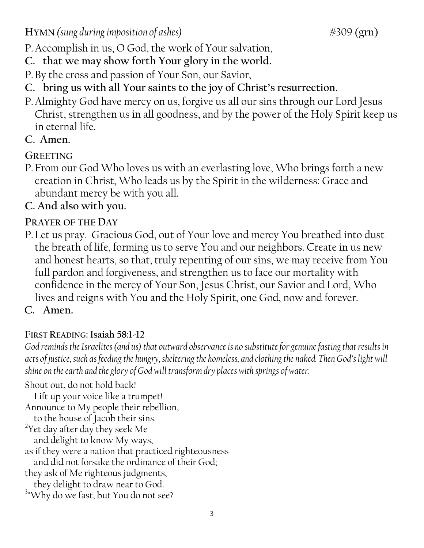**HYMN** (sung during imposition of ashes)  $\text{\#309 (grn)}$ 

P.Accomplish in us, O God, the work of Your salvation,

- **C. that we may show forth Your glory in the world.**
- P.By the cross and passion of Your Son, our Savior,
- **C. bring us with all Your saints to the joy of Christ's resurrection.**
- P.Almighty God have mercy on us, forgive us all our sins through our Lord Jesus Christ, strengthen us in all goodness, and by the power of the Holy Spirit keep us in eternal life.
- **C. Amen.**

# **GREETING**

P.From our God Who loves us with an everlasting love, Who brings forth a new creation in Christ, Who leads us by the Spirit in the wilderness: Grace and abundant mercy be with you all.

# **C. And also with you.**

# **PRAYER OF THE DAY**

P. Let us pray. Gracious God, out of Your love and mercy You breathed into dust the breath of life, forming us to serve You and our neighbors. Create in us new and honest hearts, so that, truly repenting of our sins, we may receive from You full pardon and forgiveness, and strengthen us to face our mortality with confidence in the mercy of Your Son, Jesus Christ, our Savior and Lord, Who lives and reigns with You and the Holy Spirit, one God, now and forever.

# **C. Amen.**

# **FIRST READING: Isaiah 58:1-12**

*God reminds the Israelites (and us) that outward observance is no substitute for genuine fasting that results in acts of justice, such as feeding the hungry, sheltering the homeless, and clothing the naked. Then God's light will shine on the earth and the glory of God will transform dry places with springs of water.*

Shout out, do not hold back!

Lift up your voice like a trumpet!

Announce to My people their rebellion,

to the house of Jacob their sins.

<sup>2</sup>Yet day after day they seek Me

and delight to know My ways,

as if they were a nation that practiced righteousness

and did not forsake the ordinance of their God;

they ask of Me righteous judgments,

they delight to draw near to God. <sup>3</sup> Why do we fast, but You do not see?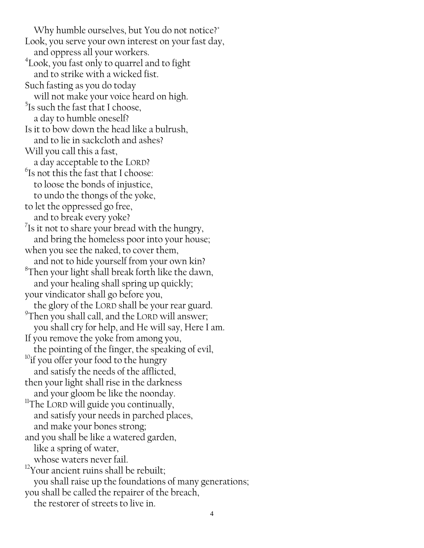Why humble ourselves, but You do not notice?" Look, you serve your own interest on your fast day, and oppress all your workers. 4 Look, you fast only to quarrel and to fight and to strike with a wicked fist. Such fasting as you do today will not make your voice heard on high.  $5$ Is such the fast that I choose, a day to humble oneself? Is it to bow down the head like a bulrush, and to lie in sackcloth and ashes? Will you call this a fast, a day acceptable to the LORD?  $\mathrm{^{6}Is}$  not this the fast that I choose: to loose the bonds of injustice, to undo the thongs of the yoke, to let the oppressed go free, and to break every yoke?  $7$ Is it not to share your bread with the hungry, and bring the homeless poor into your house; when you see the naked, to cover them, and not to hide yourself from your own kin?  ${}^{8}$ Then your light shall break forth like the dawn, and your healing shall spring up quickly; your vindicator shall go before you, the glory of the LORD shall be your rear guard. <sup>9</sup>Then you shall call, and the LORD will answer; you shall cry for help, and He will say, Here I am. If you remove the yoke from among you, the pointing of the finger, the speaking of evil, <sup>10</sup>if you offer your food to the hungry and satisfy the needs of the afflicted, then your light shall rise in the darkness and your gloom be like the noonday. <sup>11</sup>The LORD will guide you continually, and satisfy your needs in parched places, and make your bones strong; and you shall be like a watered garden, like a spring of water, whose waters never fail.  $12$ Your ancient ruins shall be rebuilt; you shall raise up the foundations of many generations; you shall be called the repairer of the breach, the restorer of streets to live in.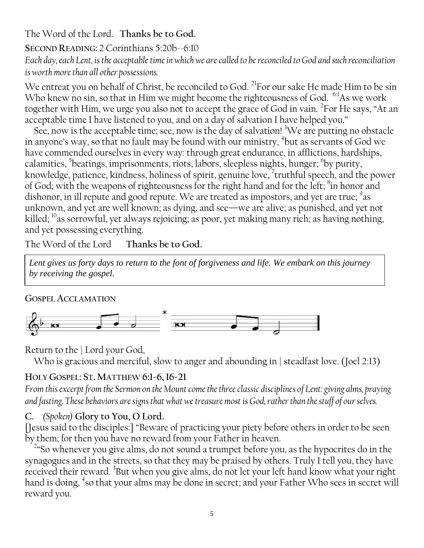## The Word of the Lord. **Thanks be to God.**

**SECOND READING:** 2 Corinthians 5:20b--6:10 *Each day, each Lent, is the acceptable time in which we are called to be reconciled to God and such reconciliation is worth more than all other possessions.*

We entreat you on behalf of Christ, be reconciled to God. <sup>21</sup>For our sake He made Him to be sin Who knew no sin, so that in Him we might become the righteousness of God. <sup>6:1</sup>As we work together with Him, we urge you also not to accept the grace of God in vain. <sup>2</sup>For He says, "At an acceptable time I have listened to you, and on a day of salvation I have helped you."

See, now is the acceptable time; see, now is the day of salvation!  ${}^{3}$ We are putting no obstacle in anyone's way, so that no fault may be found with our ministry,  $^4$ but as servants of God we have commended ourselves in every way: through great endurance, in afflictions, hardships, calamities, <sup>5</sup>beatings, imprisonments, riots, labors, sleepless nights, hunger; <sup>6</sup>by purity, knowledge, patience, kindness, holiness of spirit, genuine love, <sup>7</sup> truthful speech, and the power of God; with the weapons of righteousness for the right hand and for the left; <sup>8</sup>in honor and dishonor, in ill repute and good repute. We are treated as impostors, and yet are true;  $^9$ as unknown, and yet are well known; as dying, and see—we are alive; as punished, and yet not killed;  $^{10}$ as sorrowful, yet always rejoicing; as poor, yet making many rich; as having nothing, and yet possessing everything.

The Word of the Lord **Thanks be to God.**

*Lent gives us forty days to return to the font of forgiveness and life. We embark on this journey by receiving the gospel.*

#### **GOSPEL ACCLAMATION**



Return to the | Lord your God,

Who is gracious and merciful, slow to anger and abounding in | steadfast love. (Joel 2:13)

## **HOLY GOSPEL: ST. MATTHEW 6:1-6,16-21**

*From this excerpt from the Sermon on the Mount come the three classic disciplines of Lent: giving alms, praying and fasting. These behaviors are signs that what we treasure most is God, rather than the stuff of our selves.*

## **C.** *(Spoken)* **Glory to You, O Lord.**

[Jesus said to the disciples:] "Beware of practicing your piety before others in order to be seen by them; for then you have no reward from your Father in heaven.

<sup>2</sup>"So whenever you give alms, do not sound a trumpet before you, as the hypocrites do in the synagogues and in the streets, so that they may be praised by others. Truly I tell you, they have received their reward. <sup>3</sup>But when you give alms, do not let your left hand know what your right hand is doing, <sup>4</sup>so that your alms may be done in secret; and your Father Who sees in secret will reward you.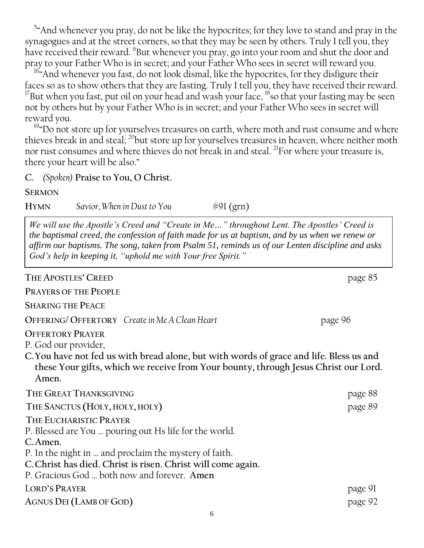$54$  And whenever you pray, do not be like the hypocrites; for they love to stand and pray in the synagogues and at the street corners, so that they may be seen by others. Truly I tell you, they have received their reward. <sup>6</sup>But whenever you pray, go into your room and shut the door and pray to your Father Who is in secret; and your Father Who sees in secret will reward you.

<sup>16</sup> And whenever you fast, do not look dismal, like the hypocrites, for they disfigure their faces so as to show others that they are fasting. Truly I tell you, they have received their reward.  $^{17}$ But when you fast, put oil on your head and wash your face,  $^{18}$ so that your fasting may be seen not by others but by your Father Who is in secret; and your Father Who sees in secret will reward you.

 $19^{\circ}$ Do not store up for yourselves treasures on earth, where moth and rust consume and where thieves break in and steal;  $^{20}$ but store up for yourselves treasures in heaven, where neither moth nor rust consumes and where thieves do not break in and steal. <sup>21</sup>For where your treasure is, there your heart will be also."

**C.** *(Spoken)* **Praise to You, O Christ.**

**SERMON**

**HYMN** Savior, When in Dust to You  $\#\mathfrak{Pl}(\text{grn})$ 

*We will use the Apostle's Creed and "Create in Me…" throughout Lent. The Apostles' Creed is the baptismal creed, the confession of faith made for us at baptism, and by us when we renew or affirm our baptisms. The song, taken from Psalm 51, reminds us of our Lenten discipline and asks God's help in keeping it, "uphold me with Your free Spirit."*

| THE APOSTLES' CREED                                                                                                                                                                                                                                                   | page 85 |
|-----------------------------------------------------------------------------------------------------------------------------------------------------------------------------------------------------------------------------------------------------------------------|---------|
| <b>PRAYERS OF THE PEOPLE</b>                                                                                                                                                                                                                                          |         |
| <b>SHARING THE PEACE</b>                                                                                                                                                                                                                                              |         |
| OFFERING/OFFERTORY Create in Me A Clean Heart                                                                                                                                                                                                                         | page 96 |
| <b>OFFERTORY PRAYER</b><br>P. God our provider,<br>C. You have not fed us with bread alone, but with words of grace and life. Bless us and<br>these Your gifts, which we receive from Your bounty, through Jesus Christ our Lord.<br>Amen.                            |         |
| THE GREAT THANKSGIVING                                                                                                                                                                                                                                                | page 88 |
| THE SANCTUS (HOLY, HOLY, HOLY)                                                                                                                                                                                                                                        | page 89 |
| THE EUCHARISTIC PRAYER<br>P. Blessed are You  pouring out Hs life for the world.<br>C. Amen.<br>P. In the night in  and proclaim the mystery of faith.<br>C. Christ has died. Christ is risen. Christ will come again.<br>P. Gracious God  both now and forever. Amen |         |
| <b>LORD'S PRAYER</b>                                                                                                                                                                                                                                                  | page 91 |
| <b>AGNUS DEI (LAMB OF GOD)</b>                                                                                                                                                                                                                                        | page 92 |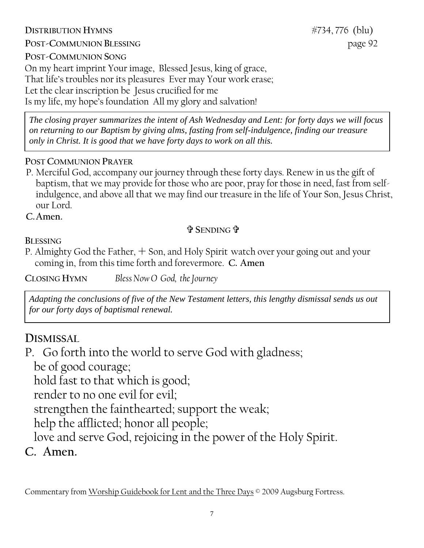## **DISTRIBUTION HYMNS**  $\frac{1}{2}$   $\frac{1}{2}$   $\frac{1}{2}$   $\frac{1}{2}$   $\frac{1}{2}$   $\frac{1}{2}$   $\frac{1}{2}$   $\frac{1}{2}$   $\frac{1}{2}$   $\frac{1}{2}$   $\frac{1}{2}$   $\frac{1}{2}$   $\frac{1}{2}$   $\frac{1}{2}$   $\frac{1}{2}$   $\frac{1}{2}$   $\frac{1}{2}$   $\frac{1}{2}$   $\frac{1}{2}$   $\frac{1}{2}$

**POST-COMMUNION BLESSING** page 92

**POST-COMMUNION SONG** 

On my heart imprint Your image, Blessed Jesus, king of grace, That life's troubles nor its pleasures Ever may Your work erase; Let the clear inscription be Jesus crucified for me Is my life, my hope's foundation All my glory and salvation!

*The closing prayer summarizes the intent of Ash Wednesday and Lent: for forty days we will focus on returning to our Baptism by giving alms, fasting from self-indulgence, finding our treasure only in Christ. It is good that we have forty days to work on all this.*

## **POST COMMUNION PRAYER**

P. Merciful God, accompany our journey through these forty days. Renew in us the gift of baptism, that we may provide for those who are poor, pray for those in need, fast from selfindulgence, and above all that we may find our treasure in the life of Your Son, Jesus Christ, our Lord.

**C.Amen.**

#### . **SENDING**

**BLESSING**

P. Almighty God the Father,  $+$  Son, and Holy Spirit watch over your going out and your coming in, from this time forth and forevermore. **C. Amen**

**CLOSING HYMN** *Bless Now O God, the Journey*

*Adapting the conclusions of five of the New Testament letters, this lengthy dismissal sends us out for our forty days of baptismal renewal.*

# **DISMISSAL**

P. Go forth into the world to serve God with gladness;

be of good courage;

hold fast to that which is good;

render to no one evil for evil;

strengthen the fainthearted; support the weak;

help the afflicted; honor all people;

love and serve God, rejoicing in the power of the Holy Spirit.

**C. Amen.**

Commentary from Worship Guidebook for Lent and the Three Days © 2009 Augsburg Fortress.